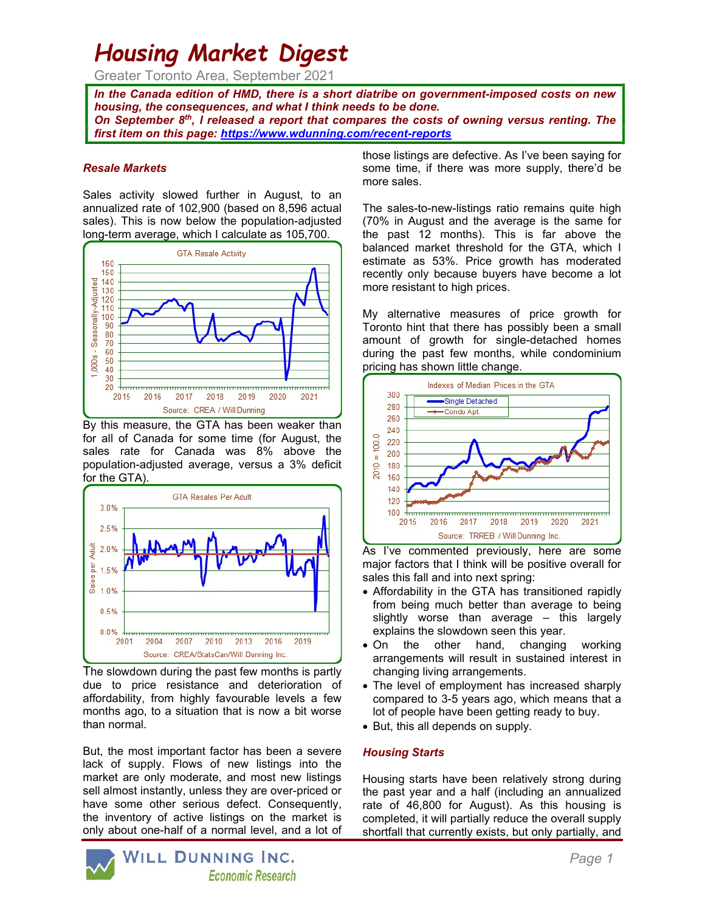# Housing Market Digest

Greater Toronto Area, September 2021

In the Canada edition of HMD, there is a short diatribe on government-imposed costs on new housing, the consequences, and what I think needs to be done. On September  $8<sup>th</sup>$ , I released a report that compares the costs of owning versus renting. The first item on this page: https://www.wdunning.com/recent-reports

#### Resale Markets

Sales activity slowed further in August, to an annualized rate of 102,900 (based on 8,596 actual sales). This is now below the population-adjusted long-term average, which I calculate as 105,700.



By this measure, the GTA has been weaker than for all of Canada for some time (for August, the sales rate for Canada was 8% above the population-adjusted average, versus a 3% deficit for the GTA).



The slowdown during the past few months is partly due to price resistance and deterioration of affordability, from highly favourable levels a few months ago, to a situation that is now a bit worse than normal.

But, the most important factor has been a severe lack of supply. Flows of new listings into the market are only moderate, and most new listings sell almost instantly, unless they are over-priced or have some other serious defect. Consequently, the inventory of active listings on the market is only about one-half of a normal level, and a lot of those listings are defective. As I've been saying for some time, if there was more supply, there'd be more sales.

The sales-to-new-listings ratio remains quite high (70% in August and the average is the same for the past 12 months). This is far above the balanced market threshold for the GTA, which I estimate as 53%. Price growth has moderated recently only because buyers have become a lot more resistant to high prices.

My alternative measures of price growth for Toronto hint that there has possibly been a small amount of growth for single-detached homes during the past few months, while condominium pricing has shown little change.



As I've commented previously, here are some major factors that I think will be positive overall for sales this fall and into next spring:

- Affordability in the GTA has transitioned rapidly from being much better than average to being slightly worse than average – this largely explains the slowdown seen this year.
- On the other hand, changing working arrangements will result in sustained interest in changing living arrangements.
- The level of employment has increased sharply compared to 3-5 years ago, which means that a lot of people have been getting ready to buy.
- But, this all depends on supply.

# Housing Starts

Housing starts have been relatively strong during the past year and a half (including an annualized rate of 46,800 for August). As this housing is completed, it will partially reduce the overall supply shortfall that currently exists, but only partially, and